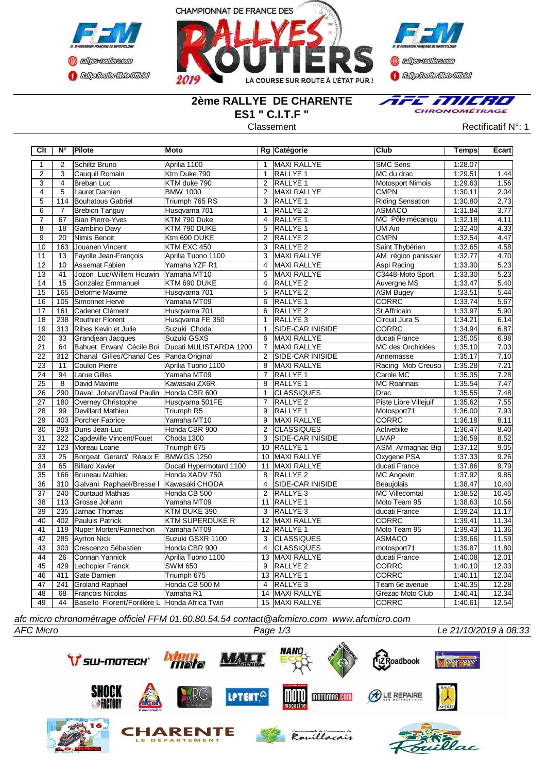



**Confederation CENTRAL MEDICATE** 

## **2ème RALLYE DE CHARENTE ES1 " C.I.T.F "**



Classement **Classement** Rectificatif N°: 1

| Clt                   | $N^{\circ}$     | Pilote                                        | Moto                                            |                 | Rg Catégorie                              | lClub                              | <b>Temps</b>       | Ecart             |
|-----------------------|-----------------|-----------------------------------------------|-------------------------------------------------|-----------------|-------------------------------------------|------------------------------------|--------------------|-------------------|
| $\mathbf{1}$          | 2               | Schiltz Bruno                                 | Aprilia 1100                                    | $\mathbf{1}$    | MAXI RALLYE                               | <b>SMC Sens</b>                    | 1:28.07            |                   |
| 2                     | 3               | lCauguil Romain                               | Ktm Duke 790                                    | $\mathbf{1}$    | <b>RALLYE 1</b>                           | MC du drac                         | 1:29.51            | 1.44              |
| $\overline{3}$        | $\overline{4}$  | Breban Luc                                    | KTM duke 790                                    | 2               | <b>RALLYE 1</b>                           | <b>Motosport Nimois</b>            | 1:29.63            | 1.56              |
| $\overline{4}$        | $\overline{5}$  | Lauret Damien                                 | <b>BMW 1000</b>                                 | 2               | <b>MAXI RALLYE</b>                        | <b>CMPN</b>                        | 1:30.11            | 2.04              |
| $\overline{5}$        | 114             | Bouhatous Gabriel                             | Triumph 765 RS                                  | 3               | <b>RALLYE 1</b>                           | <b>Riding Sensation</b>            | 1:30.80            | 2.73              |
| $\overline{6}$        | $\overline{7}$  | <b>Brebion Tanguy</b>                         | Husqvarna 701                                   | $\mathbf{1}$    | RALLYE <sub>2</sub>                       | <b>ASMACO</b>                      | 1:31.84            | 3.77              |
| $\overline{7}$        | 67              | <b>Bian Pierre-Yves</b>                       | KTM 790 Duke                                    | $\overline{4}$  | <b>RALLYE 1</b>                           | MC Pôle mécaniqu                   | 1:32.18            | 4.11              |
| $\overline{8}$        | 18              | Gambino Davy                                  | KTM 790 DUKE                                    | 5               | RALLYE 1                                  | UM Ain                             | 1:32.40            | 4.33              |
| $\overline{9}$        | $\overline{20}$ | Nimis Benoit                                  | Ktm 690 DUKE                                    | $\overline{2}$  | RALLYE <sub>2</sub>                       | <b>CMPN</b>                        | 1:32.54            | 4.47              |
| 10                    | 163             | Jouanen Vincent                               | KTM EXC 450                                     | 3               | RALLYE <sub>2</sub>                       | Saint Thybérien                    | 1:32.65            | 4.58              |
| 11                    | 13              | Fayolle Jean-François                         | Aprilia Tuono 1100                              | 3               | MAXI RALLYE                               | AM région panissier                | 1:32.77            | 4.70              |
| 12                    | 10              | <b>Assemat Fabien</b>                         | Yamaha YZF R1                                   | $\overline{4}$  | <b>MAXI RALLYE</b>                        | Aspi Racing                        | 1:33.30            | 5.23              |
| 13                    | 41              | Jozon Luc/Willem Houwin                       | Yamaha MT10                                     | 5               | <b>MAXI RALLYE</b>                        | C3448-Moto Sport                   | 1:33.30            | $\overline{5.23}$ |
| 14                    | 15              | Gonzalez Emmanuel                             | KTM 690 DUKE                                    | 4               | <b>RALLYE 2</b>                           | <b>Auvergne MS</b>                 | 1:33.47            | 5.40              |
| 15                    | 165             | Delorme Maxime                                | Husqvarna 701                                   | 5               | <b>RALLYE 2</b>                           | <b>ASM Bugey</b>                   | 1:33.51            | 5.44              |
| 16                    | 105             | Simonnet Hervé                                | Yamaha MT09                                     | 6               | RALLYE 1                                  | <b>CORRC</b>                       | 1:33.74            | 5.67              |
| 17                    | 161             | Cadenet Clément                               | Husqvarna 701                                   | 6               | RALLYE <sub>2</sub>                       | St Affricain                       | 1:33.97            | 5.90              |
| $\overline{18}$       | 238             | Routhier Florent                              | Husqvarna FE 350                                | $\mathbf{1}$    | RALLYE <sub>3</sub>                       | Circuit Jura S                     | 1:34.21            | 6.14              |
| 19                    |                 | 313 Ribes Kevin et Julie                      | Suzuki Choda                                    | $\mathbf{1}$    | <b>SIDE-CAR INISIDE</b>                   | CORRC                              | 1:34.94            | 6.87              |
| 20                    | 33              | Grandjean Jacques                             | Suzuki GSXS                                     | 6               | MAXI RALLYE                               | ducati France                      | 1:35.05            | 6.98              |
| $\overline{21}$       | 64              |                                               | Bahuet Erwan/ Cécile Boi Ducati MULISTARDA 1200 | $\overline{7}$  | <b>MAXI RALLYE</b>                        | MC des Orchidées                   | 1:35.10            | 7.03              |
| 22                    | 312             | Chanal Gilles/Chanal Ces Panda Original       |                                                 | 2               | <b>SIDE-CAR INISIDE</b>                   | Annemasse                          | 1:35.17            | 7.10              |
| 23                    | 11              | <b>Coulon Pierre</b>                          | Aprilia Tuono 1100                              | 8               | <b>MAXI RALLYE</b>                        | Racing Mob Creuso                  | 1:35.28            | 7.21              |
| 24                    | 94              | <b>Larue Gilles</b>                           | Yamaha MT09                                     | 7               | RALLYE 1                                  | Carole MC                          | 1:35.35            | 7.28              |
| $\overline{25}$       | 8               | David Maxime                                  | Kawasaki ZX6R                                   | 8               | <b>RALLYE 1</b>                           | <b>MC Roannais</b>                 | 1:35.54            | 7.47              |
| $\overline{26}$       | 290             | Daval Johan/Daval Paulin                      | Honda CBR 600                                   | $\mathbf{1}$    | <b>CLASSIQUES</b>                         | Drac                               | 1:35.55            | 7.48              |
| 27                    | 180             | Overney Christophe                            | Husqvarna 501FE                                 | $\overline{7}$  | RALLYE <sub>2</sub>                       | Piste Libre Villejuif              | 1:35.62            | 7.55              |
| 28                    | 99              | Devillard Mathieu                             | Triumph R5                                      | 9               | RALLYE <sub>1</sub>                       | Motosport71                        | 1:36.00            | 7.93              |
| $\overline{29}$       | 403             | Porcher Fabrice                               | Yamaha MT10                                     | 9               | <b>MAXI RALLYE</b>                        | CORRC                              | 1:36.18            | 8.11              |
| 30                    | 293             | Duris Jean-Luc                                | Honda CBR 900                                   | $\overline{2}$  | <b>CLASSIQUES</b>                         | Activebike                         | 1:36.47            | 8.40              |
| 31                    | 322             | Capdeville Vincent/Fouet                      | Choda 1300                                      | 3               | <b>SIDE-CAR INISIDE</b>                   | <b>LMAP</b>                        | 1:36.59            | 8.52              |
| 32                    | 123             | IMoreau Loane                                 | Triumph 675                                     | 10              | <b>RALLYE 1</b>                           | <b>ASM Armagnac Big</b>            | 1:37.12            | 9.05              |
| 33                    | 25              | Borgeat Gerard/ Réaux E                       | <b>BMWGS 1250</b>                               | 10              | <b>MAXI RALLYE</b>                        | Oxygene PSA                        | 1:37.33            | 9.26              |
| $\overline{34}$       | 65              | <b>Billard Xavier</b>                         | Ducati Hypermotard 1100                         | 11              | <b>MAXI RALLYE</b>                        | ducati France                      | 1:37.86            | 9.79              |
| 35                    | 166             | Bruneau Mathieu                               | Honda XADV 750                                  | 8               | RALLYE <sub>2</sub>                       | <b>MC Angevin</b>                  | 1:37.92            | 9.85              |
| 36                    | 310             | Galvani Raphael/Bresse I                      | Kawasaki CHODA                                  | 4               | SIDE-CAR INISIDE                          | Beaujolais                         | 1:38.47            | 10.40             |
| 37                    | 240             | <b>C</b> ourtaud Mathias                      | Honda CB 500                                    | $\overline{2}$  | RALLYE <sub>3</sub>                       | <b>MC Villecomtal</b>              | 1:38.52            | 10.45             |
| 38                    | 113             | Grosse Johann                                 | Yamaha MT09                                     | 11              | <b>RALLYE 1</b>                           | Moto Team 95                       | 1:38.63            | 10.56             |
| 39                    | 235             | Jarnac Thomas                                 | KTM DUKE 390                                    | 3               | RALLYE <sub>3</sub>                       | ducati France                      | 1:39.24            | 11.17             |
| 40                    |                 | 402 Pauluis Patrick                           | <b>KTM SUPERDUKE R</b>                          | 12              | <b>MAXI RALLYE</b>                        | <b>CORRC</b>                       | 1:39.41            | 11.34             |
| 41                    | 119             | Nuper Morten/Fannechon                        | Yamaha MT09                                     |                 | 12 RALLYE 1                               | Moto Team 95                       | 1:39.43            | 11.36             |
| 42                    | 285             | Ayrton Nick                                   | Suzuki GSXR 1100                                | 3               | <b>CLASSIQUES</b>                         | <b>ASMACO</b>                      | 1:39.66            | 11.59             |
| 43<br>$\overline{44}$ | 303             | Crescenzo Sébastien                           | Honda CBR 900                                   | 4               | <b>CLASSIQUES</b>                         | motosport71                        | 1:39.87            | 11.80<br>12.01    |
|                       | $\overline{26}$ | Connan Yannick                                | Aprilia Tuono 1100                              | 13              | <b>MAXI RALLYE</b>                        | ducati France                      | 1:40.08            | 12.03             |
| 45<br>46              | 429<br>411      | Lechopier Franck                              | <b>SWM 650</b>                                  | 9               | <b>RALLYE 2</b>                           | CORRC<br><b>CORRC</b>              | 1:40.10            | 12.04             |
| 47                    |                 | <b>Gate Damien</b>                            | Triumph 675                                     | $\overline{4}$  | 13 RALLYE 1                               |                                    | 1:40.11            | 12.28             |
| 48                    | 241<br>68       | <b>Groland Raphael</b><br>Francois Nicolas    | Honda CB 500 M<br>Yamaha R1                     | $\overline{14}$ | RALLYE <sub>3</sub><br><b>MAXI RALLYE</b> | Team 6e avenue<br>Grezac Moto Club | 1:40.35<br>1:40.41 | 12.34             |
| 49                    | 44              | Basello Florent/Forillère L Honda Africa Twin |                                                 |                 | 15 MAXI RALLYE                            | <b>CORRC</b>                       | 1:40.61            | 12.54             |
|                       |                 |                                               |                                                 |                 |                                           |                                    |                    |                   |

*afc micro chronométrage officiel FFM 01.60.80.54.54 contact@afcmicro.com www.afcmicro.com*

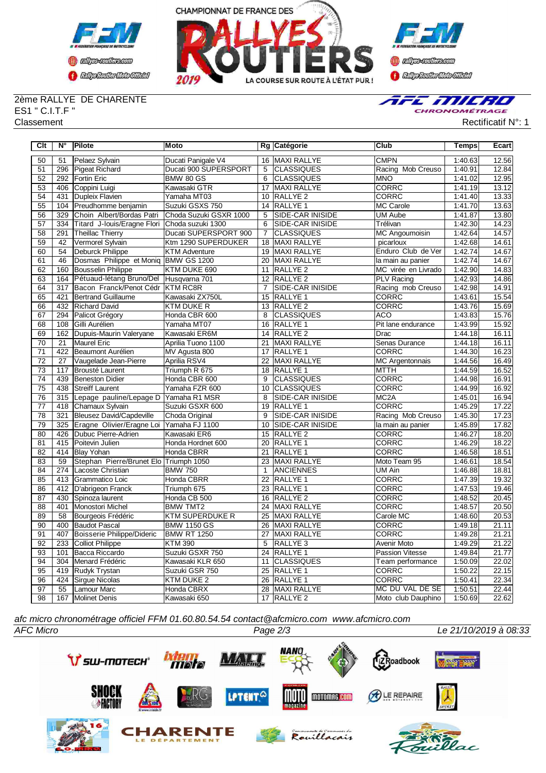



**Confederation Complementation** 

## 2ème RALLYE DE CHARENTE ES1 " C.I.T.F "



Classement Rectificatif N°: 1

| Clt             | N°              | Pilote                                        | <b>Moto</b>            |                 | Rg Catégorie            | Club                   | Temps   | Ecart |
|-----------------|-----------------|-----------------------------------------------|------------------------|-----------------|-------------------------|------------------------|---------|-------|
| 50              | 51              | Pelaez Sylvain                                | Ducati Panigale V4     |                 | 16 MAXI RALLYE          | <b>CMPN</b>            | 1:40.63 | 12.56 |
| 51              | 296             | Pigeat Richard                                | Ducati 900 SUPERSPORT  | 5               | ICLASSIQUES             | Racing Mob Creuso      | 1:40.91 | 12.84 |
| 52              | 292             | <b>Fortin Eric</b>                            | <b>BMW 80 GS</b>       | 6               | <b>CLASSIQUES</b>       | <b>MNO</b>             | 1:41.02 | 12.95 |
| 53              | 406             | Coppini Luigi                                 | Kawasaki GTR           | 17              | MAXI RALLYE             | CORRC                  | 1:41.19 | 13.12 |
| 54              | 431             | Dupleix Flavien                               | Yamaha MT03            | 10              | RALLYE <sub>2</sub>     | <b>CORRC</b>           | 1:41.40 | 13.33 |
| 55              | 104             | Preudhomme benjamin                           | Suzuki GSXS 750        | 14              | RALLYE <sub>1</sub>     | <b>MC Carole</b>       | 1:41.70 | 13.63 |
| 56              | 329             | Choin Albert/Bordas Patri                     | Choda Suzuki GSXR 1000 | $\overline{5}$  | <b>SIDE-CAR INISIDE</b> | <b>UM Aube</b>         | 1:41.87 | 13.80 |
| 57              | 334             | Titard J-louis/Eragne Flori Choda suzuki 1300 |                        | $\overline{6}$  | <b>SIDE-CAR INISIDE</b> | Trélivan               | 1:42.30 | 14.23 |
| 58              | 291             | <b>Theillac Thierry</b>                       | Ducati SUPERSPORT 900  | $\overline{7}$  | <b>CLASSIQUES</b>       | <b>MC Angoumoisin</b>  | 1:42.64 | 14.57 |
| 59              | 42              | Vermorel Sylvain                              | Ktm 1290 SUPERDUKER    | $\overline{18}$ | <b>MAXI RALLYE</b>      | picarloux              | 1:42.68 | 14.61 |
| 60              | 54              | <b>Deburck Philippe</b>                       | <b>KTM Adventure</b>   | 19              | MAXI RALLYE             | Enduro Club de Ver     | 1:42.74 | 14.67 |
| 61              | 46              | Dosmas Philippe et Moniq BMW GS 1200          |                        | 20              | MAXI RALLYE             | la main au panier      | 1:42.74 | 14.67 |
| 62              | 160             | <b>Bousselin Philippe</b>                     | KTM DUKE 690           | 11              | RALLYE <sub>2</sub>     | MC virée en Livrado    | 1:42.90 | 14.83 |
| 63              | 164             | Pétuaud-létang Bruno/Del                      | Husqvarna 701          | 12              | RALLYE <sub>2</sub>     | <b>PLV Racing</b>      | 1:42.93 | 14.86 |
| 64              | 317             | Bacon Franck/Penot Cédr                       | <b>KTM RC8R</b>        | 7               | <b>SIDE-CAR INISIDE</b> | Racing mob Creuso      | 1:42.98 | 14.91 |
| 65              | 421             | <b>Bertrand Guillaume</b>                     | Kawasaki ZX750L        | 15              | RALLYE 1                | CORRC                  | 1:43.61 | 15.54 |
| 66              | 432             | <b>Richard David</b>                          | KTM DUKE R             | 13              | <b>RALLYE 2</b>         | <b>CORRC</b>           | 1:43.76 | 15.69 |
| 67              | 294             | Palicot Grégory                               | Honda CBR 600          | 8               | <b>CLASSIQUES</b>       | <b>ACO</b>             | 1:43.83 | 15.76 |
| 68              | 108             | Gilli Aurélien                                | Yamaha MT07            | 16              | <b>RALLYE 1</b>         | Pit lane endurance     | 1:43.99 | 15.92 |
| 69              | 162             | Dupuis-Maurin Valeryane                       | Kawasaki ER6M          | 14              | <b>RALLYE 2</b>         | Drac                   | 1:44.18 | 16.11 |
| 70              | 21              | Maurel Eric                                   | Aprilia Tuono 1100     | 21              | <b>MAXI RALLYE</b>      | Senas Durance          | 1:44.18 | 16.11 |
| $\overline{71}$ | 422             | Beaumont Aurélien                             | MV Agusta 800          | 17              | RALLYE 1                | CORRC                  | 1:44.30 | 16.23 |
| $\overline{72}$ | $\overline{27}$ | Vaugelade Jean-Pierre                         | Aprilia RSV4           | $\overline{22}$ | <b>MAXI RALLYE</b>      | <b>MC</b> Argentonnais | 1:44.56 | 16.49 |
| 73              | 117             | Brousté Laurent                               | Triumph R 675          | 18              | <b>RALLYE 1</b>         | <b>MTTH</b>            | 1:44.59 | 16.52 |
| $\overline{74}$ | 439             | <b>Beneston Didier</b>                        | Honda CBR 600          | 9               | <b>CLASSIQUES</b>       | <b>CORRC</b>           | 1:44.98 | 16.91 |
| 75              | 438             | <b>Streiff Laurent</b>                        | Yamaha FZR 600         | 10              | <b>CLASSIQUES</b>       | <b>CORRC</b>           | 1:44.99 | 16.92 |
| 76              | 315             | Lepage pauline/Lepage D                       | Yamaha R1 MSR          | 8               | SIDE-CAR INISIDE        | MC <sub>2</sub> A      | 1:45.01 | 16.94 |
| $\overline{77}$ | 418             | Chamaux Sylvain                               | Suzuki GSXR 600        | 19              | <b>RALLYE 1</b>         | <b>CORRC</b>           | 1:45.29 | 17.22 |
| $\overline{78}$ | 321             | Bleusez David/Capdeville                      | Choda Original         | 9               | <b>SIDE-CAR INISIDE</b> | Racing Mob Creuso      | 1:45.30 | 17.23 |
| $\overline{79}$ | 325             | Eragne Olivier/Eragne Loi                     | Yamaha FJ 1100         | 10              | SIDE-CAR INISIDE        | la main au panier      | 1:45.89 | 17.82 |
| $\overline{80}$ | 426             | Dubuc Pierre-Adrien                           | Kawasaki ER6           | 15              | <b>RALLYE 2</b>         | <b>CORRC</b>           | 1:46.27 | 18.20 |
| 81              | 415             | Poitevin Julien                               | Honda Hordnet 600      | $\overline{20}$ | <b>RALLYE 1</b>         | <b>CORRC</b>           | 1:46.29 | 18.22 |
| 82              | 414             | <b>Blay Yohan</b>                             | Honda CBRR             | 21              | <b>RALLYE 1</b>         | <b>CORRC</b>           | 1:46.58 | 18.51 |
| 83              | 59              | Stephan Pierre/Brunet Elo Triumph 1050        |                        | 23              | MAXI RALLYE             | Moto Team 95           | 1:46.61 | 18.54 |
| 84              | 274             | Lacoste Christian                             | <b>BMW 750</b>         | 1               | <b>ANCIENNES</b>        | UM Ain                 | 1:46.88 | 18.81 |
| 85              | 413             | Grammatico Loic                               | Honda CBRR             | 22              | RALLYE 1                | <b>CORRC</b>           | 1:47.39 | 19.32 |
| 86              | 412             | D'abrigeon Franck                             | Triumph 675            | 23              | RALLYE <sub>1</sub>     | CORRC                  | 1:47.53 | 19.46 |
| 87              | 430             | Spinoza laurent                               | Honda CB 500           | 16              | RALLYE <sub>2</sub>     | <b>CORRC</b>           | 1:48.52 | 20.45 |
| $\overline{88}$ | 401             | Monostori Michel                              | <b>BMW TMT2</b>        | $\overline{24}$ | <b>MAXI RALLYE</b>      | <b>CORRC</b>           | 1:48.57 | 20.50 |
| 89              | 58              | Bourgeois Frédéric                            | <b>KTM SUPERDUKE R</b> | 25              | <b>MAXI RALLYE</b>      | Carole MC              | 1:48.60 | 20.53 |
| $\overline{90}$ | 400             | <b>Baudot Pascal</b>                          | <b>BMW 1150 GS</b>     | 26              | MAXI RALLYE             | <b>CORRC</b>           | 1:49.18 | 21.11 |
| 91              | 407             | Boisserie Philippe/Dideric                    | <b>BMW RT 1250</b>     | $\overline{27}$ | <b>MAXI RALLYE</b>      | <b>CORRC</b>           | 1:49.28 | 21.21 |
| 92              | 233             | <b>Colliot Philippe</b>                       | <b>KTM 390</b>         | 5               | RALLYE <sub>3</sub>     | Avenir Moto            | 1:49.29 | 21.22 |
| 93              | 101             | Bacca Riccardo                                | Suzuki GSXR 750        | 24              | RALLYE 1                | Passion Vitesse        | 1:49.84 | 21.77 |
| 94              | 304             | Menard Frédéric                               | Kawasaki KLR 650       | 11              | <b>CLASSIQUES</b>       | Team performance       | 1:50.09 | 22.02 |
| 95              | 419             | Rudyk Trystan                                 | Suzuki GSR 750         | 25              | <b>RALLYE 1</b>         | <b>CORRC</b>           | 1:50.22 | 22.15 |
| 96              | 424             | Sirque Nicolas                                | KTM DUKE 2             | 26              | <b>RALLYE 1</b>         | <b>CORRC</b>           | 1:50.41 | 22.34 |
| 97              | 55              | Lamour Marc                                   | Honda CBRX             |                 | 28 MAXI RALLYE          | MC DU VAL DE SE        | 1:50.51 | 22.44 |
| $\overline{98}$ |                 | 167 Molinet Denis                             | Kawasaki 650           |                 | 17 RALLYE 2             | Moto club Dauphino     | 1:50.69 | 22.62 |

*afc micro chronométrage officiel FFM 01.60.80.54.54 contact@afcmicro.com www.afcmicro.com*